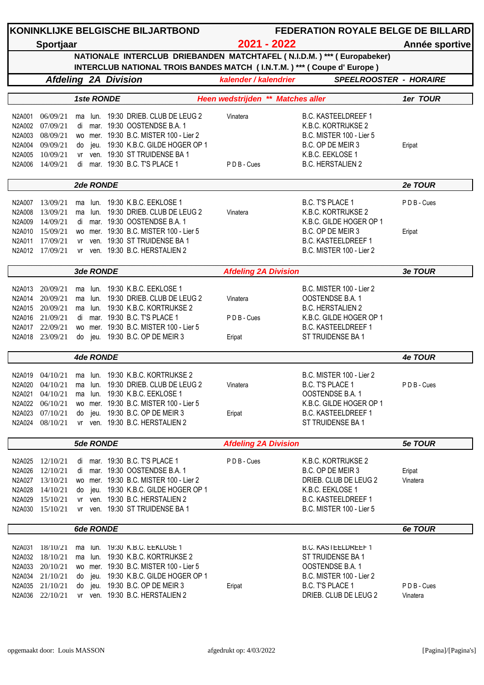|        |                             |          |                  |            | KONINKLIJKE BELGISCHE BILJARTBOND                          |                                                                          | <b>FEDERATION ROYALE BELGE DE BILLARD</b>                               |          |
|--------|-----------------------------|----------|------------------|------------|------------------------------------------------------------|--------------------------------------------------------------------------|-------------------------------------------------------------------------|----------|
|        | Sportjaar                   |          |                  |            |                                                            | 2021 - 2022                                                              | Année sportive                                                          |          |
|        |                             |          |                  |            |                                                            | INTERCLUB NATIONAL TROIS BANDES MATCH (I.N.T.M.) *** ( Coupe d' Europe ) | NATIONALE INTERCLUB DRIEBANDEN MATCHTAFEL (N.I.D.M.) *** ( Europabeker) |          |
|        | <b>Afdeling 2A Division</b> |          |                  |            |                                                            | kalender / kalendrier                                                    | <b>SPEELROOSTER - HORAIRE</b>                                           |          |
|        |                             |          |                  | 1ste RONDE |                                                            | Heen wedstrijden ** Matches aller                                        |                                                                         | 1er TOUR |
| N2A001 | 06/09/21                    | ma       |                  |            | lun. 19:30 DRIEB. CLUB DE LEUG 2                           | Vinatera                                                                 | <b>B.C. KASTEELDREEF 1</b>                                              |          |
| N2A002 | 07/09/21                    | di       |                  |            | mar. 19:30 OOSTENDSE B.A. 1                                |                                                                          | K.B.C. KORTRIJKSE 2                                                     |          |
| N2A003 | 08/09/21                    |          |                  |            | wo mer. 19:30 B.C. MISTER 100 - Lier 2                     |                                                                          | B.C. MISTER 100 - Lier 5                                                |          |
| N2A004 | 09/09/21                    | do       | jeu.             |            | 19:30 K.B.C. GILDE HOGER OP 1                              |                                                                          | B.C. OP DE MEIR 3                                                       | Eripat   |
| N2A005 | 10/09/21                    | vr       | ven.             |            | 19:30 ST TRUIDENSE BA 1                                    |                                                                          | K.B.C. EEKLOSE 1                                                        |          |
| N2A006 | 14/09/21                    | di       |                  |            | mar. 19:30 B.C. T'S PLACE 1                                | PDB-Cues                                                                 | <b>B.C. HERSTALIEN 2</b>                                                |          |
|        |                             |          | 2de RONDE        |            |                                                            |                                                                          |                                                                         | 2e TOUR  |
| N2A007 | 13/09/21                    | ma       | lun.             |            | 19:30 K.B.C. EEKLOSE 1                                     |                                                                          | B.C. T'S PLACE 1                                                        | PDB-Cues |
| N2A008 | 13/09/21                    |          | lun.             |            | 19:30 DRIEB. CLUB DE LEUG 2                                | Vinatera                                                                 | K.B.C. KORTRIJKSE 2                                                     |          |
| N2A009 | 14/09/21                    | ma<br>di | mar.             |            | 19:30 OOSTENDSE B.A. 1                                     |                                                                          | K.B.C. GILDE HOGER OP 1                                                 |          |
| N2A010 | 15/09/21                    |          |                  |            | wo mer. 19:30 B.C. MISTER 100 - Lier 5                     |                                                                          | B.C. OP DE MEIR 3                                                       |          |
|        |                             |          |                  |            |                                                            |                                                                          |                                                                         | Eripat   |
| N2A011 | 17/09/21<br>N2A012 17/09/21 | vr       | ven.             |            | 19:30 ST TRUIDENSE BA 1<br>vr ven. 19:30 B.C. HERSTALIEN 2 |                                                                          | <b>B.C. KASTEELDREEF 1</b><br>B.C. MISTER 100 - Lier 2                  |          |
|        |                             |          |                  |            |                                                            |                                                                          |                                                                         |          |
|        |                             |          | 3de RONDE        |            |                                                            | <b>Afdeling 2A Division</b>                                              |                                                                         | 3e TOUR  |
| N2A013 | 20/09/21                    | ma       | lun.             |            | 19:30 K.B.C. EEKLOSE 1                                     |                                                                          | B.C. MISTER 100 - Lier 2                                                |          |
| N2A014 | 20/09/21                    | ma       | lun.             |            | 19:30 DRIEB. CLUB DE LEUG 2                                | Vinatera                                                                 | OOSTENDSE B.A. 1                                                        |          |
| N2A015 | 20/09/21                    | ma       | lun.             |            | 19:30 K.B.C. KORTRIJKSE 2                                  |                                                                          | <b>B.C. HERSTALIEN 2</b>                                                |          |
|        | N2A016 21/09/21             | di       |                  |            | mar. 19:30 B.C. T'S PLACE 1                                | PDB-Cues                                                                 | K.B.C. GILDE HOGER OP 1                                                 |          |
|        | N2A017 22/09/21             |          |                  |            | wo mer. 19:30 B.C. MISTER 100 - Lier 5                     |                                                                          | <b>B.C. KASTEELDREEF 1</b>                                              |          |
| N2A018 | 23/09/21                    | do       |                  |            | jeu. 19:30 B.C. OP DE MEIR 3                               | Eripat                                                                   | ST TRUIDENSE BA 1                                                       |          |
|        |                             |          | 4de RONDE        |            |                                                            |                                                                          |                                                                         | 4e TOUR  |
|        |                             |          |                  |            |                                                            |                                                                          |                                                                         |          |
| N2A019 | 04/10/21                    | ma       | lun.             |            | 19:30 K.B.C. KORTRIJKSE 2                                  |                                                                          | B.C. MISTER 100 - Lier 2                                                |          |
| N2A020 | 04/10/21                    | ma       |                  |            | lun. 19:30 DRIEB. CLUB DE LEUG 2                           | Vinatera                                                                 | B.C. T'S PLACE 1                                                        | PDB-Cues |
| N2A021 | 04/10/21                    | ma       | lun.             |            | 19:30 K.B.C. EEKLOSE 1                                     |                                                                          | OOSTENDSE B.A. 1                                                        |          |
| N2A022 | 06/10/21                    |          | wo mer.          |            | 19:30 B.C. MISTER 100 - Lier 5                             |                                                                          | K.B.C. GILDE HOGER OP 1                                                 |          |
| N2A023 | 07/10/21                    | do       | jeu.             |            | 19:30 B.C. OP DE MEIR 3                                    | Eripat                                                                   | <b>B.C. KASTEELDREEF 1</b>                                              |          |
| N2A024 | 08/10/21                    |          |                  |            | vr ven. 19:30 B.C. HERSTALIEN 2                            |                                                                          | ST TRUIDENSE BA 1                                                       |          |
|        |                             |          | <b>5de RONDE</b> |            |                                                            | <b>Afdeling 2A Division</b>                                              |                                                                         | 5e TOUR  |
| N2A025 | 12/10/21                    |          |                  |            | di mar. 19:30 B.C. T'S PLACE 1                             | PDB-Cues                                                                 | K.B.C. KORTRIJKSE 2                                                     |          |
| N2A026 | 12/10/21                    | di       |                  |            | mar. 19:30 OOSTENDSE B.A. 1                                |                                                                          | B.C. OP DE MEIR 3                                                       | Eripat   |
| N2A027 | 13/10/21                    |          |                  |            | wo mer. 19:30 B.C. MISTER 100 - Lier 2                     |                                                                          | DRIEB. CLUB DE LEUG 2                                                   | Vinatera |
| N2A028 | 14/10/21                    | do       | jeu.             |            | 19:30 K.B.C. GILDE HOGER OP 1                              |                                                                          | K.B.C. EEKLOSE 1                                                        |          |
| N2A029 | 15/10/21                    | vr       |                  |            | ven. 19:30 B.C. HERSTALIEN 2                               |                                                                          | <b>B.C. KASTEELDREEF 1</b>                                              |          |
| N2A030 | 15/10/21                    | vr       |                  |            | ven. 19:30 ST TRUIDENSE BA 1                               |                                                                          | B.C. MISTER 100 - Lier 5                                                |          |
|        |                             |          | 6de RONDE        |            |                                                            |                                                                          |                                                                         | 6e TOUR  |
|        |                             |          |                  |            |                                                            |                                                                          |                                                                         |          |
| N2A031 | 18/10/21                    | ma       | lun.             |            | 19:30 K.B.C. EEKLOSE 1                                     |                                                                          | <b>B.C. KASTEELDREEF 1</b>                                              |          |
| N2A032 | 18/10/21                    | ma       | lun.             |            | 19:30 K.B.C. KORTRIJKSE 2                                  |                                                                          | ST TRUIDENSE BA 1                                                       |          |
| N2A033 | 20/10/21                    |          |                  |            | wo mer. 19:30 B.C. MISTER 100 - Lier 5                     |                                                                          | OOSTENDSE B.A. 1                                                        |          |
|        | N2A034 21/10/21             | do       | jeu.             |            | 19:30 K.B.C. GILDE HOGER OP 1                              |                                                                          | B.C. MISTER 100 - Lier 2                                                |          |
| N2A035 | 21/10/21                    | do       | jeu.             |            | 19:30 B.C. OP DE MEIR 3                                    | Eripat                                                                   | B.C. T'S PLACE 1                                                        | PDB-Cues |
| N2A036 | 22/10/21                    |          |                  |            | vr ven. 19:30 B.C. HERSTALIEN 2                            |                                                                          | DRIEB. CLUB DE LEUG 2                                                   | Vinatera |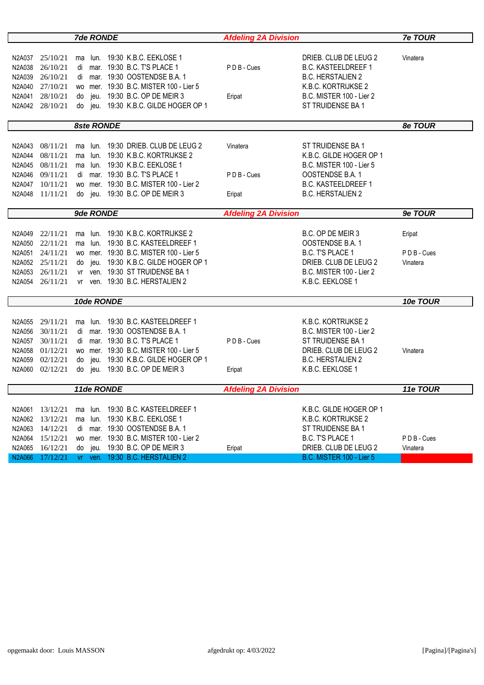| <b>7de RONDE</b> |                 |           |           |                   |                                        | <b>Afdeling 2A Division</b> | <b>7e TOUR</b>             |          |
|------------------|-----------------|-----------|-----------|-------------------|----------------------------------------|-----------------------------|----------------------------|----------|
|                  |                 |           |           |                   |                                        |                             |                            |          |
|                  | N2A037 25/10/21 |           |           |                   | ma lun. 19:30 K.B.C. EEKLOSE 1         |                             | DRIEB. CLUB DE LEUG 2      | Vinatera |
| N2A038           | 26/10/21        |           |           |                   | di mar. 19:30 B.C. T'S PLACE 1         | PDB-Cues                    | <b>B.C. KASTEELDREEF 1</b> |          |
| N2A039           | 26/10/21        |           |           |                   | di mar. 19:30 OOSTENDSE B.A. 1         |                             | <b>B.C. HERSTALIEN 2</b>   |          |
|                  | N2A040 27/10/21 |           |           |                   | wo mer. 19:30 B.C. MISTER 100 - Lier 5 |                             | K.B.C. KORTRIJKSE 2        |          |
| N2A041           | 28/10/21        |           |           |                   | do jeu. 19:30 B.C. OP DE MEIR 3        | Eripat                      | B.C. MISTER 100 - Lier 2   |          |
|                  | N2A042 28/10/21 |           |           |                   | do jeu. 19:30 K.B.C. GILDE HOGER OP 1  |                             | ST TRUIDENSE BA 1          |          |
|                  |                 |           |           |                   |                                        |                             |                            |          |
|                  |                 |           |           | <b>8ste RONDE</b> |                                        |                             |                            | 8e TOUR  |
|                  |                 |           |           |                   |                                        |                             |                            |          |
|                  | N2A043 08/11/21 |           |           |                   | ma lun. 19:30 DRIEB. CLUB DE LEUG 2    | Vinatera                    | ST TRUIDENSE BA 1          |          |
| N2A044           | 08/11/21        |           |           |                   | ma lun. 19:30 K.B.C. KORTRIJKSE 2      |                             | K.B.C. GILDE HOGER OP 1    |          |
|                  | N2A045 08/11/21 |           |           |                   | ma lun. 19:30 K.B.C. EEKLOSE 1         |                             | B.C. MISTER 100 - Lier 5   |          |
|                  | N2A046 09/11/21 |           |           |                   | di mar. 19:30 B.C. T'S PLACE 1         | PDB-Cues                    | OOSTENDSE B.A. 1           |          |
|                  | N2A047 10/11/21 |           |           |                   | wo mer. 19:30 B.C. MISTER 100 - Lier 2 |                             | <b>B.C. KASTEELDREEF 1</b> |          |
|                  | N2A048 11/11/21 |           |           |                   | do jeu. 19:30 B.C. OP DE MEIR 3        | Eripat                      | <b>B.C. HERSTALIEN 2</b>   |          |
|                  |                 |           |           |                   |                                        |                             |                            |          |
|                  |                 |           | 9de RONDE |                   |                                        | <b>Afdeling 2A Division</b> |                            | 9e TOUR  |
|                  |                 |           |           |                   |                                        |                             |                            |          |
|                  | N2A049 22/11/21 |           |           |                   | ma lun. 19:30 K.B.C. KORTRIJKSE 2      |                             | B.C. OP DE MEIR 3          | Eripat   |
|                  | N2A050 22/11/21 |           |           |                   | ma lun. 19:30 B.C. KASTEELDREEF 1      |                             | OOSTENDSE B.A. 1           |          |
|                  | N2A051 24/11/21 |           |           |                   | wo mer. 19:30 B.C. MISTER 100 - Lier 5 |                             | B.C. T'S PLACE 1           | PDB-Cues |
|                  | N2A052 25/11/21 |           |           |                   | do jeu. 19:30 K.B.C. GILDE HOGER OP 1  |                             | DRIEB. CLUB DE LEUG 2      | Vinatera |
|                  | N2A053 26/11/21 |           |           |                   | vr ven. 19:30 ST TRUIDENSE BA 1        |                             | B.C. MISTER 100 - Lier 2   |          |
|                  | N2A054 26/11/21 |           |           |                   | vr ven. 19:30 B.C. HERSTALIEN 2        |                             | K.B.C. EEKLOSE 1           |          |
|                  |                 |           |           | 10de RONDE        |                                        |                             |                            | 10e TOUR |
|                  |                 |           |           |                   |                                        |                             |                            |          |
|                  | N2A055 29/11/21 |           |           |                   | ma lun. 19:30 B.C. KASTEELDREEF 1      |                             | K.B.C. KORTRIJKSE 2        |          |
| N2A056           | 30/11/21        |           |           |                   | di mar. 19:30 OOSTENDSE B.A. 1         |                             | B.C. MISTER 100 - Lier 2   |          |
|                  | N2A057 30/11/21 |           |           |                   | di mar. 19:30 B.C. T'S PLACE 1         | PDB-Cues                    | ST TRUIDENSE BA 1          |          |
|                  | N2A058 01/12/21 |           |           |                   | wo mer. 19:30 B.C. MISTER 100 - Lier 5 |                             | DRIEB. CLUB DE LEUG 2      | Vinatera |
|                  | N2A059 02/12/21 |           |           |                   | do jeu. 19:30 K.B.C. GILDE HOGER OP 1  |                             | <b>B.C. HERSTALIEN 2</b>   |          |
| N2A060           | 02/12/21        |           |           |                   | do jeu. 19:30 B.C. OP DE MEIR 3        | Eripat                      | K.B.C. EEKLOSE 1           |          |
|                  |                 |           |           |                   |                                        |                             |                            |          |
|                  |                 |           |           | 11de RONDE        |                                        | <b>Afdeling 2A Division</b> |                            | 11e TOUR |
|                  |                 |           |           |                   |                                        |                             |                            |          |
| N2A061           | 13/12/21        | ma        | lun.      |                   | 19:30 B.C. KASTEELDREEF 1              |                             | K.B.C. GILDE HOGER OP 1    |          |
|                  | N2A062 13/12/21 |           | ma lun.   |                   | 19:30 K.B.C. EEKLOSE 1                 |                             | K.B.C. KORTRIJKSE 2        |          |
| N2A063           | 14/12/21        | di        |           |                   | mar. 19:30 OOSTENDSE B.A. 1            |                             | ST TRUIDENSE BA 1          |          |
| N2A064           | 15/12/21        | <b>WO</b> |           |                   | mer. 19:30 B.C. MISTER 100 - Lier 2    |                             | B.C. T'S PLACE 1           | PDB-Cues |
| N2A065           | 16/12/21        | do        | jeu.      |                   | 19:30 B.C. OP DE MEIR 3                | Eripat                      | DRIEB. CLUB DE LEUG 2      | Vinatera |
| <b>N2A066</b>    | 17/12/21        |           |           |                   | vr ven. 19:30 B.C. HERSTALIEN 2        |                             | B.C. MISTER 100 - Lier 5   |          |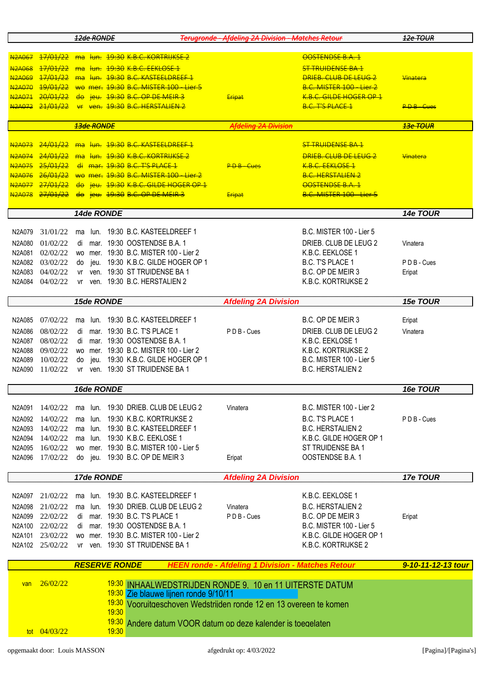|                                |                                                                                  |               | 12de RONDE        |            |                                                                                                              | <b>Terugronde - Afdeling 2A Division - Matches Retour</b> |                                           | 12e TOUR           |  |  |
|--------------------------------|----------------------------------------------------------------------------------|---------------|-------------------|------------|--------------------------------------------------------------------------------------------------------------|-----------------------------------------------------------|-------------------------------------------|--------------------|--|--|
| <b>N2A067</b>                  | 17/01/22                                                                         | <del>ma</del> |                   |            | <del>lun. 19:30 К.В.С. КОRTRIJKSE 2</del>                                                                    |                                                           | OOSTENDSE B.A. 1                          |                    |  |  |
| <b>N2A068</b>                  | 17/01/22                                                                         | <del>ma</del> | l <del>un.</del>  |            | <del>19:30 K.B.C. EEKLOSE 1</del>                                                                            |                                                           | <b>ST TRUIDENSE BA 1</b>                  |                    |  |  |
| <b>N2A069</b>                  | 17/01/22                                                                         | ma            | <del>lun.</del>   |            | 19:30 B.C. KASTEELDREEE 1                                                                                    |                                                           | <b>DRIFB. CLUB DE LEUG 2</b>              | <b>Vinatera</b>    |  |  |
| <b>N2A070</b>                  | 19/01/22                                                                         |               |                   |            | wo mer. 19:30 B.C. MISTER 100 - Lier 5                                                                       |                                                           | <b>B.C. MISTER 100 - Lier 2</b>           |                    |  |  |
| <b>N2A071</b>                  | 20/01/22                                                                         | <del>do</del> |                   |            | jeu. 19:30 B.C. OP DE MEIR 3                                                                                 | <del>Eripat</del>                                         | K.B.C. GILDE HOGER OP 1                   |                    |  |  |
| N <sub>2</sub> A072            | 21/01/22                                                                         | $H^*$         |                   |            | ven. 19:30 B.C. HERSTALIEN 2                                                                                 |                                                           | <b>B.C. T'S PLACE 1</b>                   | <b>PDB-Cues</b>    |  |  |
|                                |                                                                                  |               | <b>13de RONDE</b> |            |                                                                                                              | <b>Afdeling 2A Division</b>                               |                                           | 13e TOUR           |  |  |
|                                |                                                                                  |               |                   |            |                                                                                                              |                                                           |                                           |                    |  |  |
| N <sub>2</sub> A073            | <del>24/01/22</del>                                                              | <del>ma</del> |                   |            | <del>lun. 19:30 B.C. KASTEELDREEF 1</del>                                                                    |                                                           | <del>ST TRUIDENSE BA 1</del>              |                    |  |  |
| <b>N2A074</b><br><b>N2A075</b> | 24/01/22<br>25/01/22                                                             | <del>ma</del> | <del>lun.</del>   |            | <del>19:30 K.B.C. KORTRIJKSE 2</del><br><del>di mar. 19:30 B.C. T'S PLACE 1</del>                            | <b>P.D.B.-Cues</b>                                        | DRIFB CLUB DE LEUG 2<br>K.B.C. FFKLOSE 1  | Vinatera           |  |  |
| <b>N2A076</b>                  | 26/01/22                                                                         |               |                   |            | wo mer. 19:30 B.C. MISTER 100 - Lier 2                                                                       |                                                           | <b>B.C. HERSTALIEN 2</b>                  |                    |  |  |
| <b>N2A077</b>                  | 27/01/22                                                                         | <del>do</del> |                   |            | jeu. 19:30 K.B.C. GILDE HOGER OP 1                                                                           |                                                           | OOSTENDSE B.A. 1                          |                    |  |  |
| <b>N2A078</b>                  | 27/01/22                                                                         | <del>do</del> |                   |            | <u>jeu. 19:30 B.C. OP DE MEIR 3</u>                                                                          | Eripat                                                    | B.C. MISTER 100 - Lier 5                  |                    |  |  |
|                                |                                                                                  |               |                   |            |                                                                                                              |                                                           |                                           |                    |  |  |
|                                |                                                                                  |               |                   | 14de RONDE |                                                                                                              |                                                           |                                           | 14e TOUR           |  |  |
| N2A079                         | 31/01/22                                                                         | ma            | lun.              |            | 19:30 B.C. KASTEELDREEF 1                                                                                    |                                                           | <b>B.C. MISTER 100 - Lier 5</b>           |                    |  |  |
| N2A080                         | 01/02/22                                                                         | di            |                   |            | mar. 19:30 OOSTENDSE B.A. 1                                                                                  |                                                           | DRIEB. CLUB DE LEUG 2                     | Vinatera           |  |  |
| N2A081                         | 02/02/22                                                                         | <b>WO</b>     | mer.              |            | 19:30 B.C. MISTER 100 - Lier 2                                                                               |                                                           | K.B.C. EEKLOSE 1                          |                    |  |  |
| N2A082                         | 03/02/22                                                                         | do            | jeu.              |            | 19:30 K.B.C. GILDE HOGER OP 1                                                                                |                                                           | <b>B.C. T'S PLACE 1</b>                   | PD B - Cues        |  |  |
| N2A083                         | 04/02/22                                                                         | vr            | ven.              |            | 19:30 ST TRUIDENSE BA 1                                                                                      |                                                           | B.C. OP DE MEIR 3                         | Eripat             |  |  |
| N2A084                         | 04/02/22                                                                         | vr            |                   |            | ven. 19:30 B.C. HERSTALIEN 2                                                                                 |                                                           | K.B.C. KORTRIJKSE 2                       |                    |  |  |
|                                |                                                                                  |               |                   | 15de RONDE |                                                                                                              | <b>Afdeling 2A Division</b>                               |                                           | 15e TOUR           |  |  |
| N2A085                         | 07/02/22                                                                         | ma            | lun.              |            | 19:30 B.C. KASTEELDREEF 1                                                                                    |                                                           | B.C. OP DE MEIR 3                         | Eripat             |  |  |
|                                |                                                                                  |               |                   |            |                                                                                                              |                                                           |                                           |                    |  |  |
| N2A086<br>N2A087               | 08/02/22<br>08/02/22                                                             | di<br>di      |                   |            | mar. 19:30 B.C. T'S PLACE 1<br>mar. 19:30 OOSTENDSE B.A. 1                                                   | PDB-Cues                                                  | DRIEB. CLUB DE LEUG 2<br>K.B.C. EEKLOSE 1 | Vinatera           |  |  |
| N2A088                         | 09/02/22                                                                         | <b>WO</b>     | mer.              |            | 19:30 B.C. MISTER 100 - Lier 2                                                                               |                                                           | K.B.C. KORTRIJKSE 2                       |                    |  |  |
| N2A089                         | 10/02/22                                                                         | do            | ieu.              |            | 19:30 K.B.C. GILDE HOGER OP 1                                                                                |                                                           | <b>B.C. MISTER 100 - Lier 5</b>           |                    |  |  |
| N2A090                         | 11/02/22                                                                         | vr            |                   |            | ven. 19:30 ST TRUIDENSE BA 1                                                                                 |                                                           | <b>B.C. HERSTALIEN 2</b>                  |                    |  |  |
|                                |                                                                                  |               |                   |            |                                                                                                              |                                                           |                                           |                    |  |  |
|                                |                                                                                  |               |                   | 16de RONDE |                                                                                                              |                                                           |                                           | 16e TOUR           |  |  |
| N2A091                         | 14/02/22                                                                         | ma            |                   |            | lun. 19:30 DRIEB, CLUB DE LEUG 2                                                                             | Vinatera                                                  | <b>B.C. MISTER 100 - Lier 2</b>           |                    |  |  |
| N2A092                         | 14/02/22                                                                         | ma            | lun.              |            | 19:30 K.B.C. KORTRIJKSE 2                                                                                    |                                                           | B.C. T'S PLACE 1                          | PDB-Cues           |  |  |
| N2A093                         | 14/02/22                                                                         | ma            | lun.              |            | 19:30 B.C. KASTEELDREEF 1                                                                                    |                                                           | <b>B.C. HERSTALIEN 2</b>                  |                    |  |  |
| N2A094                         | 14/02/22                                                                         | ma            | lun.              |            | 19:30 K.B.C. EEKLOSE 1                                                                                       |                                                           | K.B.C. GILDE HOGER OP 1                   |                    |  |  |
| N2A095                         | 16/02/22                                                                         |               | wo mer.           |            | 19:30 B.C. MISTER 100 - Lier 5                                                                               |                                                           | ST TRUIDENSE BA 1                         |                    |  |  |
| N2A096                         | 17/02/22                                                                         | do            |                   |            | jeu. 19:30 B.C. OP DE MEIR 3                                                                                 | Eripat                                                    | OOSTENDSE B.A. 1                          |                    |  |  |
|                                |                                                                                  |               |                   | 17de RONDE |                                                                                                              | <b>Afdeling 2A Division</b>                               |                                           | 17e TOUR           |  |  |
| N2A097                         | 21/02/22                                                                         | ma            |                   |            | lun. 19:30 B.C. KASTEELDREEF 1                                                                               |                                                           | K.B.C. EEKLOSE 1                          |                    |  |  |
| N2A098                         | 21/02/22                                                                         | ma            | lun.              |            | 19:30 DRIEB. CLUB DE LEUG 2                                                                                  | Vinatera                                                  | <b>B.C. HERSTALIEN 2</b>                  |                    |  |  |
| N2A099                         | 22/02/22                                                                         | di            |                   |            | mar. 19:30 B.C. T'S PLACE 1                                                                                  | PDB-Cues                                                  | B.C. OP DE MEIR 3                         | Eripat             |  |  |
| N2A100                         | 22/02/22                                                                         | di            |                   |            | mar. 19:30 OOSTENDSE B.A. 1                                                                                  |                                                           | B.C. MISTER 100 - Lier 5                  |                    |  |  |
| N2A101                         | 23/02/22                                                                         | <b>WO</b>     |                   |            | mer. 19:30 B.C. MISTER 100 - Lier 2                                                                          |                                                           | K.B.C. GILDE HOGER OP 1                   |                    |  |  |
|                                | N2A102 25/02/22                                                                  | vr            |                   |            | ven. 19:30 ST TRUIDENSE BA 1                                                                                 |                                                           | K.B.C. KORTRIJKSE 2                       |                    |  |  |
|                                | <b>RESERVE RONDE</b><br><b>HEEN ronde - Afdeling 1 Division - Matches Retour</b> |               |                   |            |                                                                                                              |                                                           |                                           |                    |  |  |
|                                |                                                                                  |               |                   |            |                                                                                                              |                                                           |                                           | 9-10-11-12-13 tour |  |  |
| van                            | 26/02/22                                                                         |               |                   |            | <sup>19:30</sup> INHAALWEDSTRIJDEN RONDE 9. 10 en 11 UITERSTE DATUM<br>19:30 Zie blauwe lijnen ronde 9/10/11 |                                                           |                                           |                    |  |  |
|                                | <u>19:30</u><br>Vooruitgeschoven Wedstrijden ronde 12 en 13 overeen te komen     |               |                   |            |                                                                                                              |                                                           |                                           |                    |  |  |
|                                |                                                                                  |               |                   | 19:30      |                                                                                                              |                                                           |                                           |                    |  |  |
|                                |                                                                                  |               |                   |            | 19:30 Andere datum VOOR datum op deze kalender is toegelaten                                                 |                                                           |                                           |                    |  |  |
|                                | tot $04/03/22$                                                                   |               |                   | 19:30      |                                                                                                              |                                                           |                                           |                    |  |  |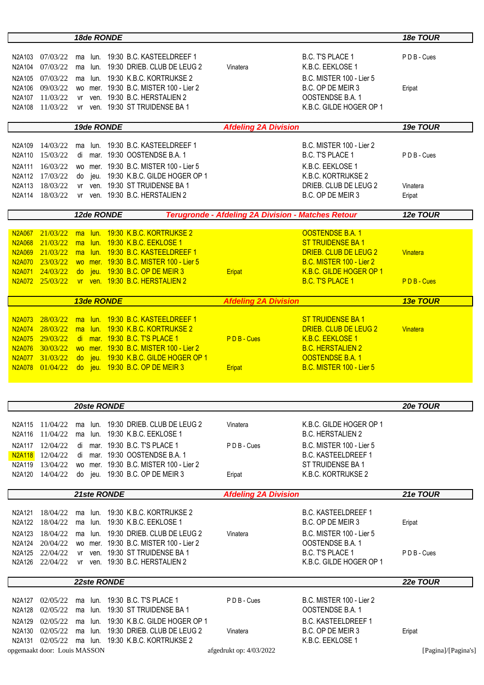|                                                   |                      |                |              | 18de RONDE        |                                                               |                             |                                                           | 18e TOUR           |
|---------------------------------------------------|----------------------|----------------|--------------|-------------------|---------------------------------------------------------------|-----------------------------|-----------------------------------------------------------|--------------------|
|                                                   |                      |                |              |                   |                                                               |                             |                                                           |                    |
| N2A103                                            | 07/03/22             | ma             |              |                   | lun. 19:30 B.C. KASTEELDREEF 1                                |                             | B.C. T'S PLACE 1                                          | PDB-Cues           |
| N2A104                                            | 07/03/22             | ma             | lun.         |                   | 19:30 DRIEB. CLUB DE LEUG 2                                   | Vinatera                    | K.B.C. EEKLOSE 1                                          |                    |
| N2A105                                            | 07/03/22             | ma             | lun.         |                   | 19:30 K.B.C. KORTRIJKSE 2                                     |                             | <b>B.C. MISTER 100 - Lier 5</b>                           |                    |
| N2A106                                            | 09/03/22             |                |              |                   | wo mer. 19:30 B.C. MISTER 100 - Lier 2                        |                             | B.C. OP DE MEIR 3                                         | Eripat             |
| N2A107<br>N2A108                                  | 11/03/22<br>11/03/22 | vr             |              |                   | ven. 19:30 B.C. HERSTALIEN 2<br>ven. 19:30 ST TRUIDENSE BA 1  |                             | OOSTENDSE B.A. 1<br>K.B.C. GILDE HOGER OP 1               |                    |
|                                                   |                      | vr             |              |                   |                                                               |                             |                                                           |                    |
|                                                   |                      |                |              | 19de RONDE        |                                                               | <b>Afdeling 2A Division</b> |                                                           | 19e TOUR           |
|                                                   |                      |                |              |                   |                                                               |                             |                                                           |                    |
| N2A109                                            | 14/03/22             | ma             | lun.         |                   | 19:30 B.C. KASTEELDREEF 1                                     |                             | B.C. MISTER 100 - Lier 2                                  |                    |
| N2A110                                            | 15/03/22             | di             |              |                   | mar. 19:30 OOSTENDSE B.A. 1                                   |                             | B.C. T'S PLACE 1                                          | PDB-Cues           |
| N2A111                                            | 16/03/22             |                |              |                   | wo mer. 19:30 B.C. MISTER 100 - Lier 5                        |                             | K.B.C. EEKLOSE 1                                          |                    |
| N2A112<br>N2A113                                  | 17/03/22<br>18/03/22 | do             | ieu.         |                   | 19:30 K.B.C. GILDE HOGER OP 1<br>ven. 19:30 ST TRUIDENSE BA 1 |                             | K.B.C. KORTRIJKSE 2<br>DRIEB. CLUB DE LEUG 2              |                    |
| N2A114                                            | 18/03/22             | vr             |              |                   | vr ven. 19:30 B.C. HERSTALIEN 2                               |                             | B.C. OP DE MEIR 3                                         | Vinatera<br>Eripat |
|                                                   |                      |                |              |                   |                                                               |                             |                                                           |                    |
|                                                   |                      |                |              | 12de RONDE        |                                                               |                             | <b>Terugronde - Afdeling 2A Division - Matches Retour</b> | 12e TOUR           |
|                                                   | 21/03/22             |                |              |                   | lun. 19:30 K.B.C. KORTRIJKSE 2                                |                             | <b>OOSTENDSE B.A. 1</b>                                   |                    |
| N <sub>2</sub> A <sub>06</sub> 7<br><b>N2A068</b> | 21/03/22             | ma<br>ma       | lun.         |                   | 19:30 K.B.C. EEKLOSE 1                                        |                             | <b>ST TRUIDENSE BA 1</b>                                  |                    |
| <b>N2A069</b>                                     | 21/03/22             | ma             | lun.         |                   | 19:30 B.C. KASTEELDREEF 1                                     |                             | DRIEB. CLUB DE LEUG 2                                     | Vinatera           |
| <b>N2A070</b>                                     | 23/03/22             |                |              |                   | wo mer. 19:30 B.C. MISTER 100 - Lier 5                        |                             | B.C. MISTER 100 - Lier 2                                  |                    |
| <b>N2A071</b>                                     | 24/03/22             | $d\sigma$      | jeu.         |                   | 19:30 B.C. OP DE MEIR 3                                       | Eripat                      | K.B.C. GILDE HOGER OP 1                                   |                    |
| N <sub>2</sub> A072                               | 25/03/22             |                |              |                   | vr ven. 19:30 B.C. HERSTALIEN 2                               |                             | <b>B.C. T'S PLACE 1</b>                                   | PDB-Cues           |
|                                                   |                      |                |              |                   |                                                               |                             |                                                           |                    |
|                                                   |                      |                |              | <b>13de RONDE</b> |                                                               | <b>Afdeling 2A Division</b> |                                                           | <b>13e TOUR</b>    |
|                                                   |                      |                |              |                   |                                                               |                             |                                                           |                    |
| N <sub>2</sub> A <sub>0</sub> 73<br><b>N2A074</b> | 28/03/22             | ma             | lun.<br>lun. |                   | 19:30 B.C. KASTEELDREEF 1<br>19:30 K.B.C. KORTRIJKSE 2        |                             | <b>ST TRUIDENSE BA1</b><br>DRIEB. CLUB DE LEUG 2          | <b>Vinatera</b>    |
| <b>N2A075</b>                                     | 28/03/22<br>29/03/22 | ma<br>di       | mar.         |                   | 19:30 B.C. T'S PLACE 1                                        | PDB-Cues                    | <b>K.B.C. EEKLOSE 1</b>                                   |                    |
| <b>N2A076</b>                                     | 30/03/22             | <b>WO</b>      |              |                   | mer. 19:30 B.C. MISTER 100 - Lier 2                           |                             | <b>B.C. HERSTALIEN 2</b>                                  |                    |
| <b>N2A077</b>                                     | 31/03/22             | $d\sigma$      | jeu.         |                   | 19:30 K.B.C. GILDE HOGER OP 1                                 |                             | <b>OOSTENDSE B.A.1</b>                                    |                    |
| N2A078                                            | 01/04/22             | d <sub>O</sub> | jeu.         |                   | 19:30 B.C. OP DE MEIR 3                                       | Eripat                      | <b>B.C. MISTER 100 - Lier 5</b>                           |                    |
|                                                   |                      |                |              |                   |                                                               |                             |                                                           |                    |
|                                                   |                      |                |              |                   |                                                               |                             |                                                           |                    |
|                                                   |                      |                |              | 20ste RONDE       |                                                               |                             |                                                           | 20e TOUR           |
|                                                   |                      |                |              |                   |                                                               |                             |                                                           |                    |
| N2A115                                            | 11/04/22             | ma             | lun.         |                   | 19:30 DRIEB. CLUB DE LEUG 2                                   | Vinatera                    | K.B.C. GILDE HOGER OP 1                                   |                    |
| N2A116                                            | 11/04/22             | ma             | lun.         |                   | 19:30 K.B.C. EEKLOSE 1                                        |                             | <b>B.C. HERSTALIEN 2</b>                                  |                    |
| N2A117                                            | 12/04/22             | di             |              |                   | mar. 19:30 B.C. T'S PLACE 1                                   | PDB-Cues                    | <b>B.C. MISTER 100 - Lier 5</b>                           |                    |
| <b>N2A118</b>                                     | 12/04/22             | di             |              |                   | mar. 19:30 OOSTENDSE B.A. 1                                   |                             | <b>B.C. KASTEELDREEF 1</b>                                |                    |
| N2A119                                            | 13/04/22             |                |              |                   | wo mer. 19:30 B.C. MISTER 100 - Lier 2                        |                             | ST TRUIDENSE BA 1                                         |                    |
| N2A120                                            | 14/04/22             |                |              |                   | do jeu. 19:30 B.C. OP DE MEIR 3                               | Eripat                      | K.B.C. KORTRIJKSE 2                                       |                    |
|                                                   |                      |                |              | 21ste RONDE       |                                                               | <b>Afdeling 2A Division</b> |                                                           | 21e TOUR           |
|                                                   |                      |                |              |                   |                                                               |                             |                                                           |                    |
| N2A121                                            | 18/04/22             | ma             | lun.         |                   | 19:30 K.B.C. KORTRIJKSE 2                                     |                             | <b>B.C. KASTEELDREEF 1</b>                                |                    |
| N2A122                                            | 18/04/22             | ma             | lun.         |                   | 19:30 K.B.C. EEKLOSE 1                                        |                             | B.C. OP DE MEIR 3                                         | Eripat             |
|                                                   | N2A123 18/04/22      |                |              |                   | ma lun. 19:30 DRIEB. CLUB DE LEUG 2                           | Vinatera                    | B.C. MISTER 100 - Lier 5                                  |                    |

N2A124 20/04/22 wo mer. 19:30 B.C. MISTER 100 - Lier 2 OOSTENDSE B.A. 1 N2A125 22/04/22 vr ven. 19:30 ST TRUIDENSE BA 1 B.C. T'S PLACE 1 P D B - Cues N2A126 22/04/22 vr ven. 19:30 B.C. HERSTALIEN 2 K.B.C. GILDE HOGER OP 1

## *22ste RONDE 22e TOUR*

|                              |  | N2A127 02/05/22 ma lun. 19:30 B.C. T'S PLACE 1        | PDB-Cues                | B.C. MISTER 100 - Lier 2 |        |                     |
|------------------------------|--|-------------------------------------------------------|-------------------------|--------------------------|--------|---------------------|
|                              |  | N2A128 02/05/22 ma lun. 19:30 ST TRUIDENSE BA 1       |                         | OOSTENDSE B.A. 1         |        |                     |
|                              |  | N2A129 02/05/22 ma lun. 19:30 K.B.C. GILDE HOGER OP 1 |                         | B.C. KASTEELDREEF 1      |        |                     |
|                              |  | N2A130 02/05/22 ma lun. 19:30 DRIEB. CLUB DE LEUG 2   | Vinatera                | B.C. OP DE MEIR 3        | Eripat |                     |
|                              |  | N2A131 02/05/22 ma lun. 19:30 K.B.C. KORTRIJKSE 2     |                         | K.B.C. EEKLOSE 1         |        |                     |
| opgemaakt door: Louis MASSON |  |                                                       | afgedrukt op: 4/03/2022 |                          |        | [Pagina]/[Pagina's] |